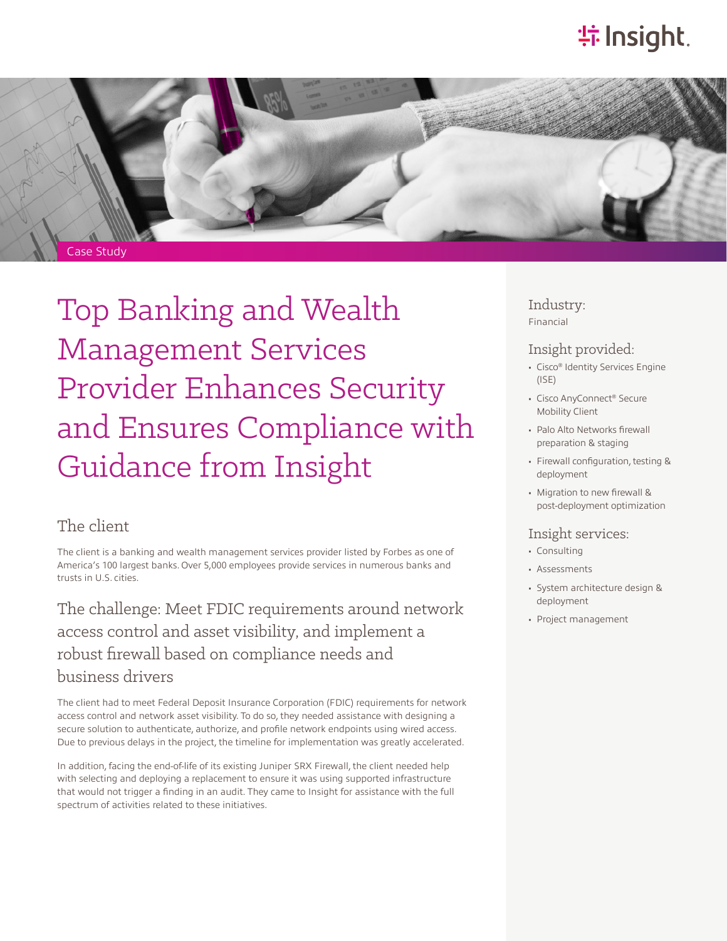# **特Insight**.



Top Banking and Wealth Management Services Provider Enhances Security and Ensures Compliance with Guidance from Insight

### The client

The client is a banking and wealth management services provider listed by Forbes as one of America's 100 largest banks. Over 5,000 employees provide services in numerous banks and trusts in U.S. cities.

The challenge: Meet FDIC requirements around network access control and asset visibility, and implement a robust firewall based on compliance needs and business drivers

The client had to meet Federal Deposit Insurance Corporation (FDIC) requirements for network access control and network asset visibility. To do so, they needed assistance with designing a secure solution to authenticate, authorize, and profile network endpoints using wired access. Due to previous delays in the project, the timeline for implementation was greatly accelerated.

In addition, facing the end-of-life of its existing Juniper SRX Firewall, the client needed help with selecting and deploying a replacement to ensure it was using supported infrastructure that would not trigger a finding in an audit. They came to Insight for assistance with the full spectrum of activities related to these initiatives.

Industry: Financial

#### Insight provided:

- Cisco® Identity Services Engine (ISE)
- Cisco AnyConnect® Secure Mobility Client
- Palo Alto Networks firewall preparation & staging
- Firewall configuration, testing & deployment
- Migration to new firewall & post-deployment optimization

#### Insight services:

- Consulting
- Assessments
- System architecture design & deployment
- Project management